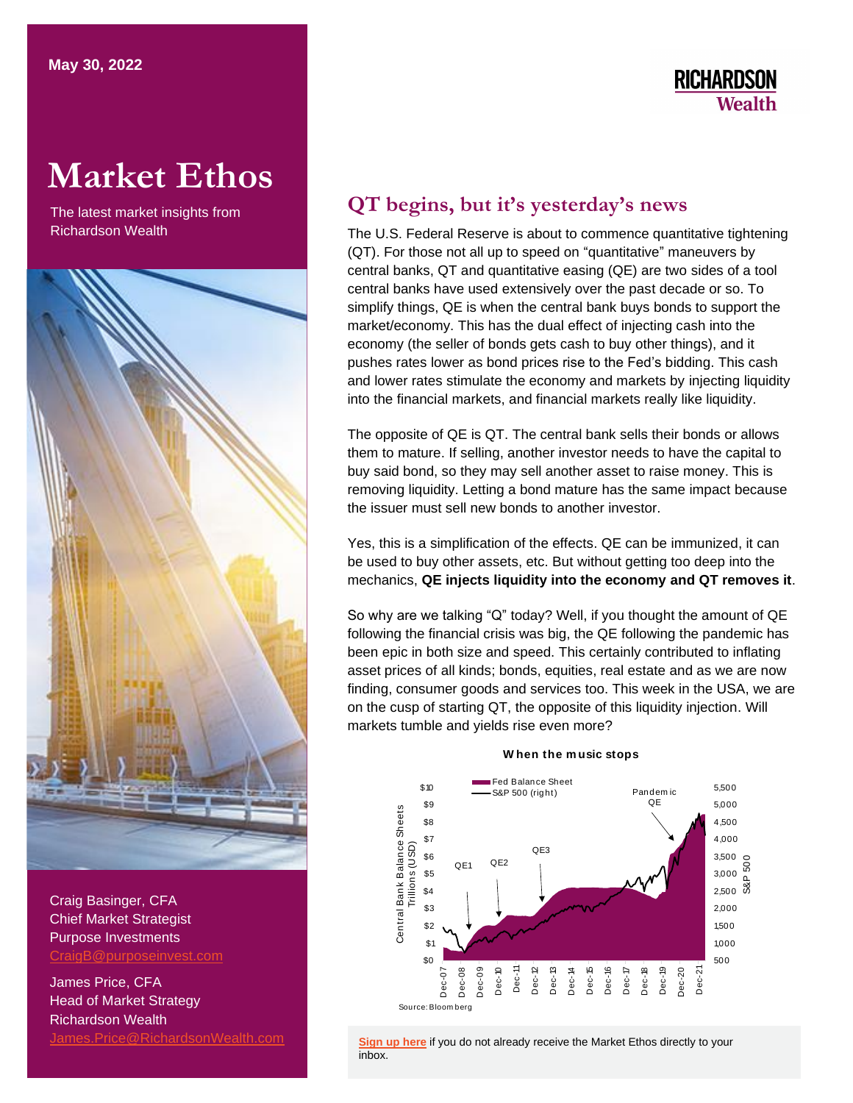# **RICHARDSON Wealth**

# **Market Ethos**

The latest market insights from Richardson Wealth



Craig Basinger, CFA Chief Market Strategist Purpose Investments [CraigB@purposeinvest.com](mailto:CraigB@purposeinvest.com)

James Price, CFA Head of Market Strategy Richardson Wealth [James.Price@RichardsonWealth.com](mailto:James.Price@RichardsonWealth.com)

## **QT begins, but it's yesterday's news**

The U.S. Federal Reserve is about to commence quantitative tightening (QT). For those not all up to speed on "quantitative" maneuvers by central banks, QT and quantitative easing (QE) are two sides of a tool central banks have used extensively over the past decade or so. To simplify things, QE is when the central bank buys bonds to support the market/economy. This has the dual effect of injecting cash into the economy (the seller of bonds gets cash to buy other things), and it pushes rates lower as bond prices rise to the Fed's bidding. This cash and lower rates stimulate the economy and markets by injecting liquidity into the financial markets, and financial markets really like liquidity.

The opposite of QE is QT. The central bank sells their bonds or allows them to mature. If selling, another investor needs to have the capital to buy said bond, so they may sell another asset to raise money. This is removing liquidity. Letting a bond mature has the same impact because the issuer must sell new bonds to another investor.

Yes, this is a simplification of the effects. QE can be immunized, it can be used to buy other assets, etc. But without getting too deep into the mechanics, **QE injects liquidity into the economy and QT removes it**.

So why are we talking "Q" today? Well, if you thought the amount of QE following the financial crisis was big, the QE following the pandemic has been epic in both size and speed. This certainly contributed to inflating asset prices of all kinds; bonds, equities, real estate and as we are now finding, consumer goods and services too. This week in the USA, we are on the cusp of starting QT, the opposite of this liquidity injection. Will markets tumble and yields rise even more?



### **W hen the m usic stops**

**Sign up here** if you do not already receive the Market Ethos directly to your [inbox.](https://surveys.campaignbreeze.com/s/9772617f4a874bcad89db07d66bb905669984b44)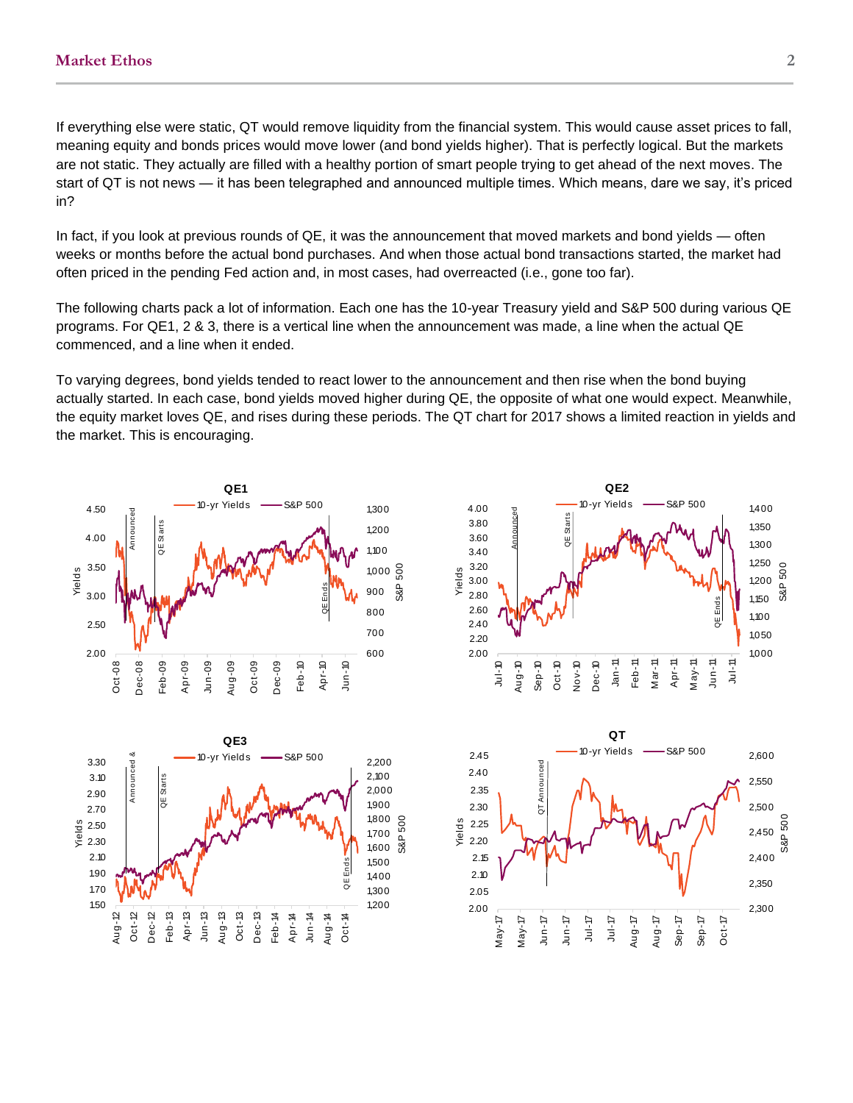If everything else were static, QT would remove liquidity from the financial system. This would cause asset prices to fall, meaning equity and bonds prices would move lower (and bond yields higher). That is perfectly logical. But the markets are not static. They actually are filled with a healthy portion of smart people trying to get ahead of the next moves. The start of QT is not news — it has been telegraphed and announced multiple times. Which means, dare we say, it's priced in?

In fact, if you look at previous rounds of QE, it was the announcement that moved markets and bond yields — often weeks or months before the actual bond purchases. And when those actual bond transactions started, the market had often priced in the pending Fed action and, in most cases, had overreacted (i.e., gone too far).

The following charts pack a lot of information. Each one has the 10-year Treasury yield and S&P 500 during various QE programs. For QE1, 2 & 3, there is a vertical line when the announcement was made, a line when the actual QE commenced, and a line when it ended.

To varying degrees, bond yields tended to react lower to the announcement and then rise when the bond buying actually started. In each case, bond yields moved higher during QE, the opposite of what one would expect. Meanwhile, the equity market loves QE, and rises during these periods. The QT chart for 2017 shows a limited reaction in yields and the market. This is encouraging.

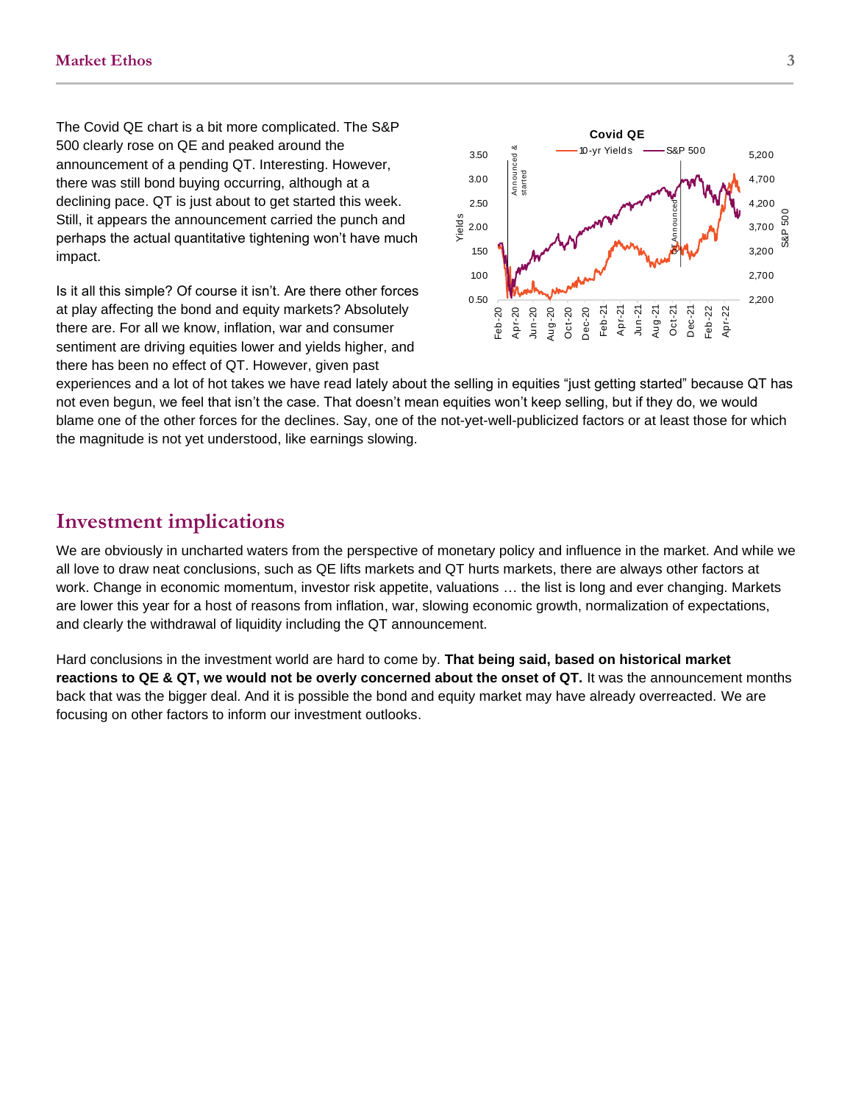The Covid QE chart is a bit more complicated. The S&P 500 clearly rose on QE and peaked around the announcement of a pending QT. Interesting. However, there was still bond buying occurring, although at a declining pace. QT is just about to get started this week. Still, it appears the announcement carried the punch and perhaps the actual quantitative tightening won't have much impact.

Is it all this simple? Of course it isn't. Are there other forces at play affecting the bond and equity markets? Absolutely there are. For all we know, inflation, war and consumer sentiment are driving equities lower and yields higher, and there has been no effect of QT. However, given past



experiences and a lot of hot takes we have read lately about the selling in equities "just getting started" because QT has not even begun, we feel that isn't the case. That doesn't mean equities won't keep selling, but if they do, we would blame one of the other forces for the declines. Say, one of the not-yet-well-publicized factors or at least those for which the magnitude is not yet understood, like earnings slowing.

### **Investment implications**

We are obviously in uncharted waters from the perspective of monetary policy and influence in the market. And while we all love to draw neat conclusions, such as QE lifts markets and QT hurts markets, there are always other factors at work. Change in economic momentum, investor risk appetite, valuations … the list is long and ever changing. Markets are lower this year for a host of reasons from inflation, war, slowing economic growth, normalization of expectations, and clearly the withdrawal of liquidity including the QT announcement.

Hard conclusions in the investment world are hard to come by. **That being said, based on historical market reactions to QE & QT, we would not be overly concerned about the onset of QT.** It was the announcement months back that was the bigger deal. And it is possible the bond and equity market may have already overreacted. We are focusing on other factors to inform our investment outlooks.